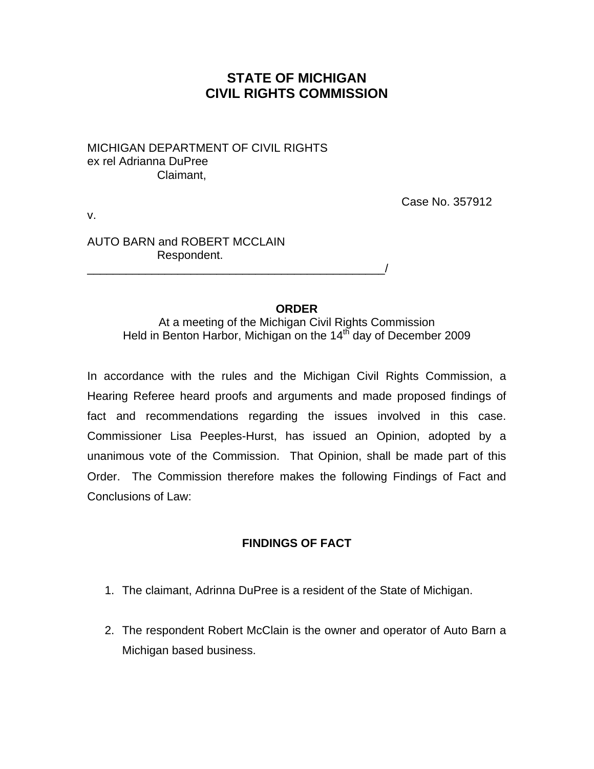# **STATE OF MICHIGAN CIVIL RIGHTS COMMISSION**

#### MICHIGAN DEPARTMENT OF CIVIL RIGHTS ex rel Adrianna DuPree Claimant,

\_\_\_\_\_\_\_\_\_\_\_\_\_\_\_\_\_\_\_\_\_\_\_\_\_\_\_\_\_\_\_\_\_\_\_\_\_\_\_\_\_\_\_\_\_\_/

v.

Case No. 357912

AUTO BARN and ROBERT MCCLAIN Respondent.

#### **ORDER**

At a meeting of the Michigan Civil Rights Commission Held in Benton Harbor, Michigan on the 14<sup>th</sup> day of December 2009

In accordance with the rules and the Michigan Civil Rights Commission, a Hearing Referee heard proofs and arguments and made proposed findings of fact and recommendations regarding the issues involved in this case. Commissioner Lisa Peeples-Hurst, has issued an Opinion, adopted by a unanimous vote of the Commission. That Opinion, shall be made part of this Order. The Commission therefore makes the following Findings of Fact and Conclusions of Law:

### **FINDINGS OF FACT**

- 1. The claimant, Adrinna DuPree is a resident of the State of Michigan.
- 2. The respondent Robert McClain is the owner and operator of Auto Barn a Michigan based business.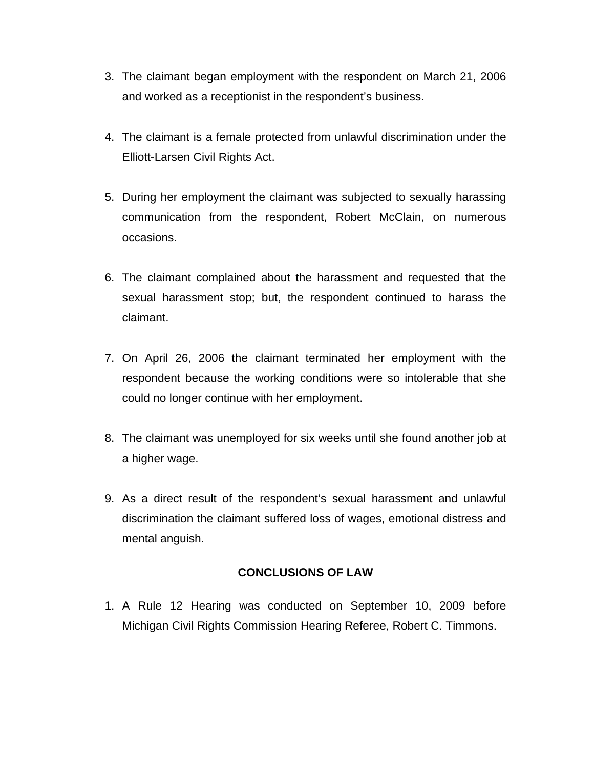- 3. The claimant began employment with the respondent on March 21, 2006 and worked as a receptionist in the respondent's business.
- 4. The claimant is a female protected from unlawful discrimination under the Elliott-Larsen Civil Rights Act.
- 5. During her employment the claimant was subjected to sexually harassing communication from the respondent, Robert McClain, on numerous occasions.
- 6. The claimant complained about the harassment and requested that the sexual harassment stop; but, the respondent continued to harass the claimant.
- 7. On April 26, 2006 the claimant terminated her employment with the respondent because the working conditions were so intolerable that she could no longer continue with her employment.
- 8. The claimant was unemployed for six weeks until she found another job at a higher wage.
- 9. As a direct result of the respondent's sexual harassment and unlawful discrimination the claimant suffered loss of wages, emotional distress and mental anguish.

### **CONCLUSIONS OF LAW**

1. A Rule 12 Hearing was conducted on September 10, 2009 before Michigan Civil Rights Commission Hearing Referee, Robert C. Timmons.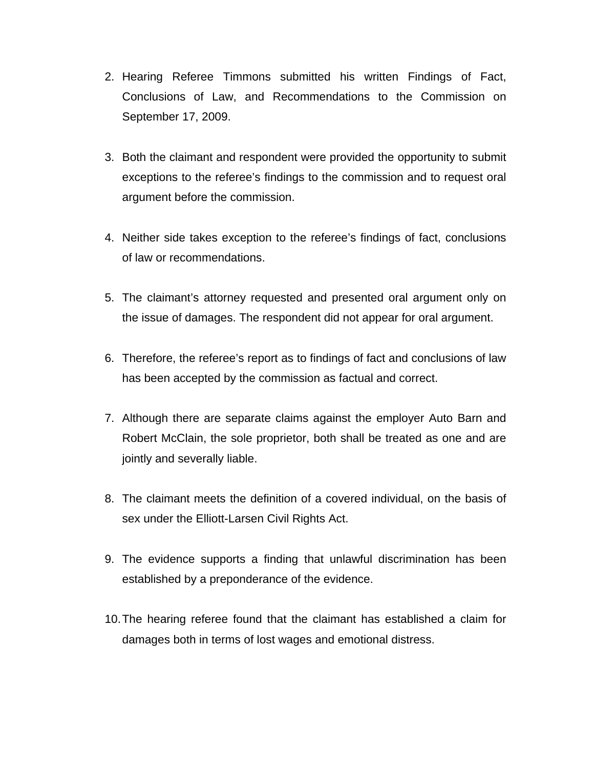- 2. Hearing Referee Timmons submitted his written Findings of Fact, Conclusions of Law, and Recommendations to the Commission on September 17, 2009.
- 3. Both the claimant and respondent were provided the opportunity to submit exceptions to the referee's findings to the commission and to request oral argument before the commission.
- 4. Neither side takes exception to the referee's findings of fact, conclusions of law or recommendations.
- 5. The claimant's attorney requested and presented oral argument only on the issue of damages. The respondent did not appear for oral argument.
- 6. Therefore, the referee's report as to findings of fact and conclusions of law has been accepted by the commission as factual and correct.
- 7. Although there are separate claims against the employer Auto Barn and Robert McClain, the sole proprietor, both shall be treated as one and are jointly and severally liable.
- 8. The claimant meets the definition of a covered individual, on the basis of sex under the Elliott-Larsen Civil Rights Act.
- 9. The evidence supports a finding that unlawful discrimination has been established by a preponderance of the evidence.
- 10. The hearing referee found that the claimant has established a claim for damages both in terms of lost wages and emotional distress.